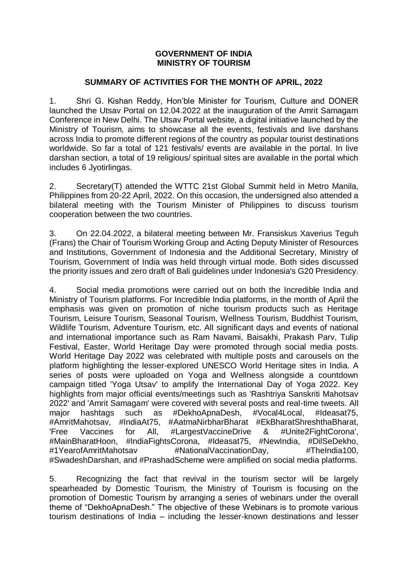## **GOVERNMENT OF INDIA MINISTRY OF TOURISM**

## **SUMMARY OF ACTIVITIES FOR THE MONTH OF APRIL, 2022**

1. Shri G. Kishan Reddy, Hon'ble Minister for Tourism, Culture and DONER launched the Utsav Portal on 12.04.2022 at the inauguration of the Amrit Samagam Conference in New Delhi. The Utsav Portal website, a digital initiative launched by the Ministry of Tourism, aims to showcase all the events, festivals and live darshans across India to promote different regions of the country as popular tourist destinations worldwide. So far a total of 121 festivals/ events are available in the portal. In live darshan section, a total of 19 religious/ spiritual sites are available in the portal which includes 6 Jyotirlingas.

2. Secretary(T) attended the WTTC 21st Global Summit held in Metro Manila, Philippines from 20-22 April, 2022. On this occasion, the undersigned also attended a bilateral meeting with the Tourism Minister of Philippines to discuss tourism cooperation between the two countries.

3. On 22.04.2022, a bilateral meeting between Mr. Fransiskus Xaverius Teguh (Frans) the Chair of Tourism Working Group and Acting Deputy Minister of Resources and Institutions, Government of Indonesia and the Additional Secretary, Ministry of Tourism, Government of India was held through virtual mode. Both sides discussed the priority issues and zero draft of Bali guidelines under Indonesia's G20 Presidency.

4. Social media promotions were carried out on both the Incredible India and Ministry of Tourism platforms. For Incredible India platforms, in the month of April the emphasis was given on promotion of niche tourism products such as Heritage Tourism, Leisure Tourism, Seasonal Tourism, Wellness Tourism, Buddhist Tourism, Wildlife Tourism, Adventure Tourism, etc. All significant days and events of national and international importance such as Ram Navami, Baisakhi, Prakash Parv, Tulip Festival, Easter, World Heritage Day were promoted through social media posts. World Heritage Day 2022 was celebrated with multiple posts and carousels on the platform highlighting the lesser-explored UNESCO World Heritage sites in India. A series of posts were uploaded on Yoga and Wellness alongside a countdown campaign titled 'Yoga Utsav' to amplify the International Day of Yoga 2022. Key highlights from major official events/meetings such as 'Rashtriya Sanskriti Mahotsav 2022' and 'Amrit Samagam' were covered with several posts and real-time tweets. All major hashtags such as #DekhoApnaDesh, #Vocal4Local, #Ideasat75, #AmritMahotsav, #IndiaAt75, #AatmaNirbharBharat #EkBharatShreshthaBharat, 'Free Vaccines for All, #LargestVaccineDrive & #Unite2FightCorona', #MainBharatHoon, #IndiaFightsCorona, #Ideasat75, #NewIndia, #DilSeDekho, #1YearofAmritMahotsav #NationalVaccinationDay, #TheIndia100, #SwadeshDarshan, and #PrashadScheme were amplified on social media platforms.

5. Recognizing the fact that revival in the tourism sector will be largely spearheaded by Domestic Tourism, the Ministry of Tourism is focusing on the promotion of Domestic Tourism by arranging a series of webinars under the overall theme of "DekhoApnaDesh." The objective of these Webinars is to promote various tourism destinations of India – including the lesser-known destinations and lesser